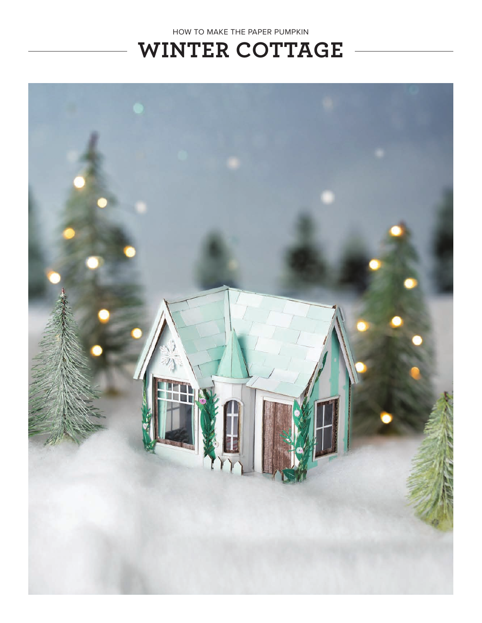

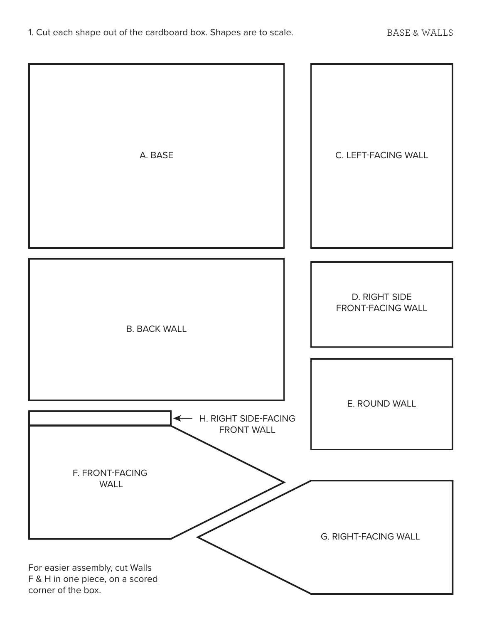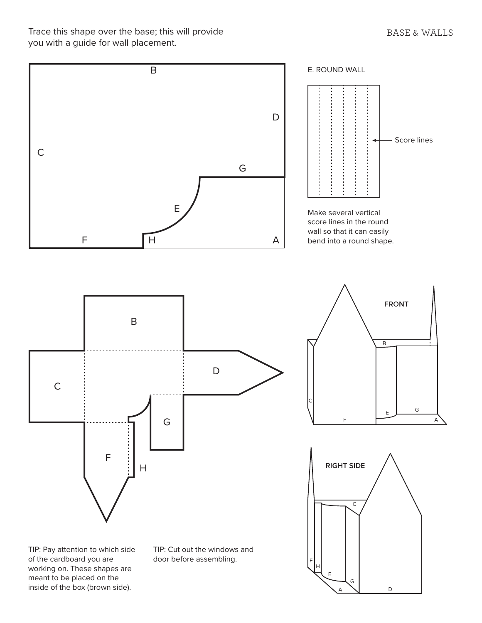Trace this shape over the base; this will provide you with a guide for wall placement.



A

D

inside of the box (brown side).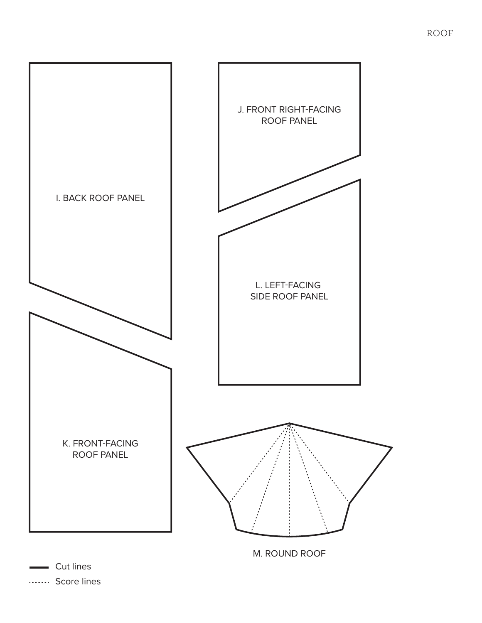

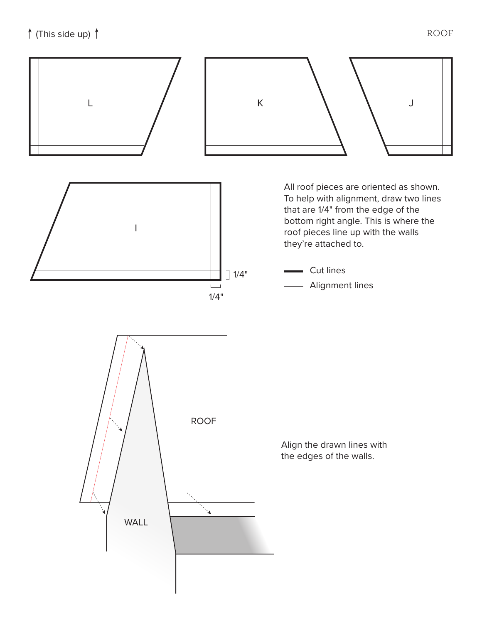